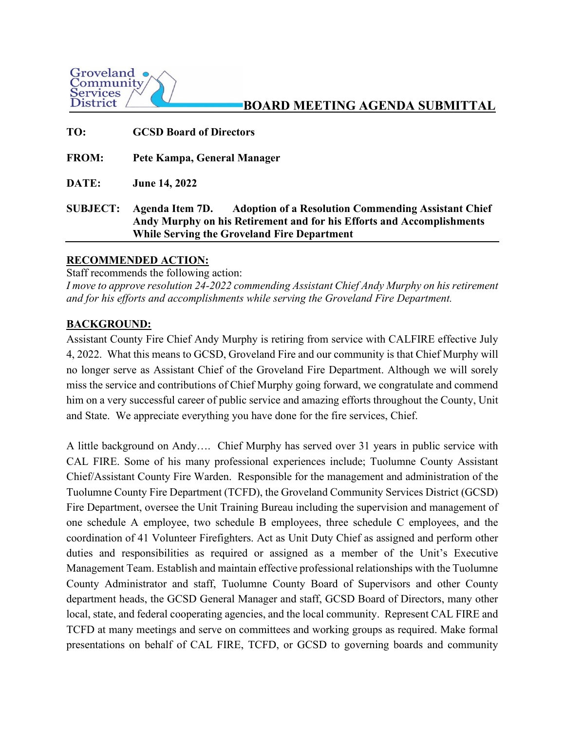

# **BOARD MEETING AGENDA SUBMITTAL**

| TO:             | <b>GCSD Board of Directors</b>                                                                                                                                                                               |
|-----------------|--------------------------------------------------------------------------------------------------------------------------------------------------------------------------------------------------------------|
| <b>FROM:</b>    | Pete Kampa, General Manager                                                                                                                                                                                  |
| DATE:           | <b>June 14, 2022</b>                                                                                                                                                                                         |
| <b>SUBJECT:</b> | Agenda Item 7D.<br><b>Adoption of a Resolution Commending Assistant Chief</b><br>Andy Murphy on his Retirement and for his Efforts and Accomplishments<br><b>While Serving the Groveland Fire Department</b> |

## **RECOMMENDED ACTION:**

Staff recommends the following action:

*I move to approve resolution 24-2022 commending Assistant Chief Andy Murphy on his retirement and for his efforts and accomplishments while serving the Groveland Fire Department.* 

## **BACKGROUND:**

Assistant County Fire Chief Andy Murphy is retiring from service with CALFIRE effective July 4, 2022. What this means to GCSD, Groveland Fire and our community is that Chief Murphy will no longer serve as Assistant Chief of the Groveland Fire Department. Although we will sorely miss the service and contributions of Chief Murphy going forward, we congratulate and commend him on a very successful career of public service and amazing efforts throughout the County, Unit and State. We appreciate everything you have done for the fire services, Chief.

A little background on Andy…. Chief Murphy has served over 31 years in public service with CAL FIRE. Some of his many professional experiences include; Tuolumne County Assistant Chief/Assistant County Fire Warden. Responsible for the management and administration of the Tuolumne County Fire Department (TCFD), the Groveland Community Services District (GCSD) Fire Department, oversee the Unit Training Bureau including the supervision and management of one schedule A employee, two schedule B employees, three schedule C employees, and the coordination of 41 Volunteer Firefighters. Act as Unit Duty Chief as assigned and perform other duties and responsibilities as required or assigned as a member of the Unit's Executive Management Team. Establish and maintain effective professional relationships with the Tuolumne County Administrator and staff, Tuolumne County Board of Supervisors and other County department heads, the GCSD General Manager and staff, GCSD Board of Directors, many other local, state, and federal cooperating agencies, and the local community. Represent CAL FIRE and TCFD at many meetings and serve on committees and working groups as required. Make formal presentations on behalf of CAL FIRE, TCFD, or GCSD to governing boards and community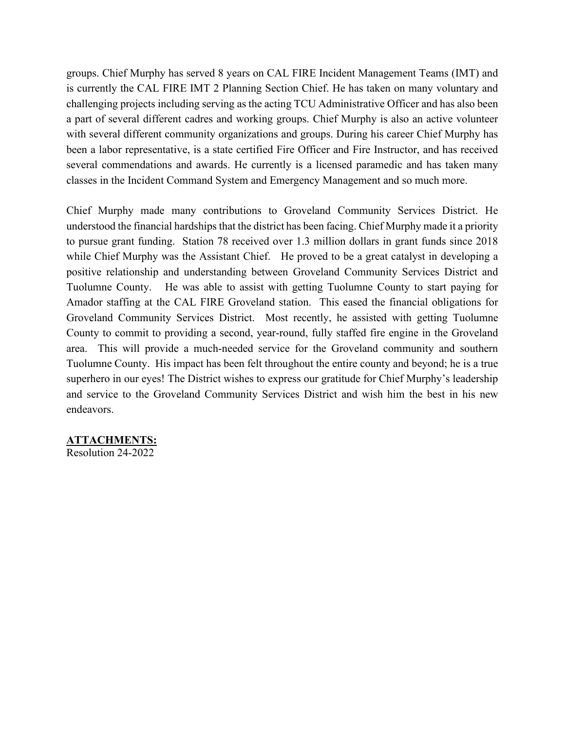groups. Chief Murphy has served 8 years on CAL FIRE Incident Management Teams (IMT) and is currently the CAL FIRE IMT 2 Planning Section Chief. He has taken on many voluntary and challenging projects including serving as the acting TCU Administrative Officer and has also been a part of several different cadres and working groups. Chief Murphy is also an active volunteer with several different community organizations and groups. During his career Chief Murphy has been a labor representative, is a state certified Fire Officer and Fire Instructor, and has received several commendations and awards. He currently is a licensed paramedic and has taken many classes in the Incident Command System and Emergency Management and so much more.

Chief Murphy made many contributions to Groveland Community Services District. He understood the financial hardships that the district has been facing. Chief Murphy made it a priority to pursue grant funding. Station 78 received over 1.3 million dollars in grant funds since 2018 while Chief Murphy was the Assistant Chief. He proved to be a great catalyst in developing a positive relationship and understanding between Groveland Community Services District and Tuolumne County. He was able to assist with getting Tuolumne County to start paying for Amador staffing at the CAL FIRE Groveland station. This eased the financial obligations for Groveland Community Services District. Most recently, he assisted with getting Tuolumne County to commit to providing a second, year-round, fully staffed fire engine in the Groveland area. This will provide a much-needed service for the Groveland community and southern Tuolumne County. His impact has been felt throughout the entire county and beyond; he is a true superhero in our eyes! The District wishes to express our gratitude for Chief Murphy's leadership and service to the Groveland Community Services District and wish him the best in his new endeavors.

## **ATTACHMENTS:**

Resolution 24-2022